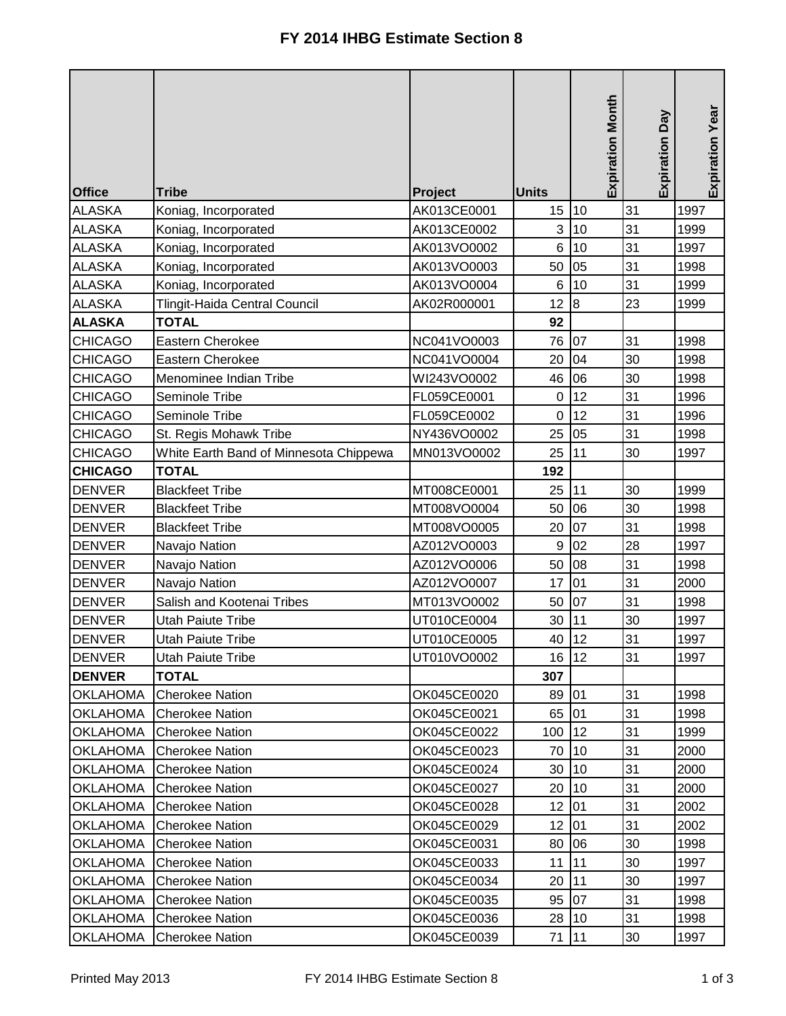| <b>Office</b>   | <b>Tribe</b>                           | Project     | <b>Units</b>     | <b>Expiration Month</b> | Expiration Day | Expiration Year |
|-----------------|----------------------------------------|-------------|------------------|-------------------------|----------------|-----------------|
| <b>ALASKA</b>   | Koniag, Incorporated                   | AK013CE0001 | 15               | 10                      | 31             | 1997            |
| <b>ALASKA</b>   | Koniag, Incorporated                   | AK013CE0002 | 3                | 10                      | 31             | 1999            |
| <b>ALASKA</b>   | Koniag, Incorporated                   | AK013VO0002 | 6                | 10                      | 31             | 1997            |
| <b>ALASKA</b>   | Koniag, Incorporated                   | AK013VO0003 | 50               | 05                      | 31             | 1998            |
| <b>ALASKA</b>   | Koniag, Incorporated                   | AK013VO0004 | 6                | 10                      | 31             | 1999            |
| <b>ALASKA</b>   | Tlingit-Haida Central Council          | AK02R000001 | 12               | 8                       | 23             | 1999            |
| <b>ALASKA</b>   | <b>TOTAL</b>                           |             | 92               |                         |                |                 |
| <b>CHICAGO</b>  | Eastern Cherokee                       | NC041VO0003 | 76               | 07                      | 31             | 1998            |
| <b>CHICAGO</b>  | Eastern Cherokee                       | NC041VO0004 | 20               | 04                      | 30             | 1998            |
| <b>CHICAGO</b>  | Menominee Indian Tribe                 | WI243VO0002 | 46               | 06                      | 30             | 1998            |
| <b>CHICAGO</b>  | Seminole Tribe                         | FL059CE0001 | $\boldsymbol{0}$ | 12                      | 31             | 1996            |
| <b>CHICAGO</b>  | Seminole Tribe                         | FL059CE0002 | $\mathbf 0$      | 12                      | 31             | 1996            |
| <b>CHICAGO</b>  | St. Regis Mohawk Tribe                 | NY436VO0002 | 25               | 05                      | 31             | 1998            |
| <b>CHICAGO</b>  | White Earth Band of Minnesota Chippewa | MN013VO0002 | 25               | 11                      | 30             | 1997            |
| <b>CHICAGO</b>  | <b>TOTAL</b>                           |             | 192              |                         |                |                 |
| <b>DENVER</b>   | <b>Blackfeet Tribe</b>                 | MT008CE0001 | 25               | 11                      | 30             | 1999            |
| <b>DENVER</b>   | <b>Blackfeet Tribe</b>                 | MT008VO0004 | 50               | 06                      | 30             | 1998            |
| <b>DENVER</b>   | <b>Blackfeet Tribe</b>                 | MT008VO0005 | 20               | 07                      | 31             | 1998            |
| <b>DENVER</b>   | Navajo Nation                          | AZ012VO0003 | $\boldsymbol{9}$ | 02                      | 28             | 1997            |
| <b>DENVER</b>   | Navajo Nation                          | AZ012VO0006 | 50               | 08                      | 31             | 1998            |
| <b>DENVER</b>   | Navajo Nation                          | AZ012VO0007 | 17               | 01                      | 31             | 2000            |
| <b>DENVER</b>   | Salish and Kootenai Tribes             | MT013VO0002 | 50               | 07                      | 31             | 1998            |
| <b>DENVER</b>   | Utah Paiute Tribe                      | UT010CE0004 | 30               | 11                      | 30             | 1997            |
| <b>DENVER</b>   | Utah Paiute Tribe                      | UT010CE0005 | 40               | 12                      | 31             | 1997            |
| <b>DENVER</b>   | <b>Utah Paiute Tribe</b>               | UT010VO0002 |                  | 16 12                   | 31             | 1997            |
| <b>DENVER</b>   | <b>TOTAL</b>                           |             | 307              |                         |                |                 |
| <b>OKLAHOMA</b> | <b>Cherokee Nation</b>                 | OK045CE0020 | 89               | 01                      | 31             | 1998            |
| <b>OKLAHOMA</b> | <b>Cherokee Nation</b>                 | OK045CE0021 | 65               | 01                      | 31             | 1998            |
| <b>OKLAHOMA</b> | <b>Cherokee Nation</b>                 | OK045CE0022 | 100              | 12                      | 31             | 1999            |
| <b>OKLAHOMA</b> | <b>Cherokee Nation</b>                 | OK045CE0023 | 70               | 10                      | 31             | 2000            |
| <b>OKLAHOMA</b> | <b>Cherokee Nation</b>                 | OK045CE0024 | 30               | 10                      | 31             | 2000            |
| <b>OKLAHOMA</b> | <b>Cherokee Nation</b>                 | OK045CE0027 | 20               | 10                      | 31             | 2000            |
| <b>OKLAHOMA</b> | <b>Cherokee Nation</b>                 | OK045CE0028 | 12               | 01                      | 31             | 2002            |
| <b>OKLAHOMA</b> | <b>Cherokee Nation</b>                 | OK045CE0029 | 12               | 01                      | 31             | 2002            |
| <b>OKLAHOMA</b> | <b>Cherokee Nation</b>                 | OK045CE0031 | 80               | 106                     | 30             | 1998            |
| <b>OKLAHOMA</b> | <b>Cherokee Nation</b>                 | OK045CE0033 | 11               | 11                      | 30             | 1997            |
| <b>OKLAHOMA</b> | <b>Cherokee Nation</b>                 | OK045CE0034 | 20               | 11                      | 30             | 1997            |
| <b>OKLAHOMA</b> | <b>Cherokee Nation</b>                 | OK045CE0035 | 95               | 07                      | 31             | 1998            |
| <b>OKLAHOMA</b> | <b>Cherokee Nation</b>                 | OK045CE0036 | 28               | 10                      | 31             | 1998            |
| <b>OKLAHOMA</b> | <b>Cherokee Nation</b>                 | OK045CE0039 | 71               | 11                      | 30             | 1997            |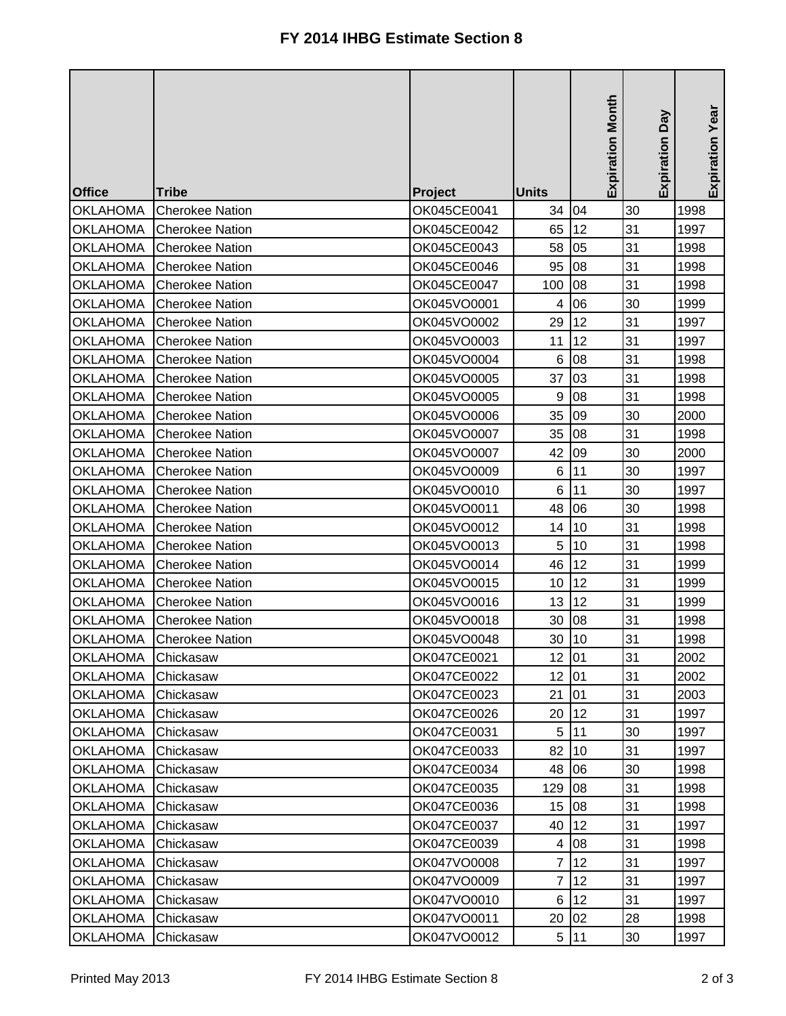| <b>Office</b>   | <b>Tribe</b>           | Project     | <b>Units</b>   | <b>Expiration Month</b> | Expiration Day | Expiration Year |
|-----------------|------------------------|-------------|----------------|-------------------------|----------------|-----------------|
| <b>OKLAHOMA</b> | <b>Cherokee Nation</b> | OK045CE0041 | 34             | 04                      | 30             | 1998            |
| <b>OKLAHOMA</b> | <b>Cherokee Nation</b> | OK045CE0042 | 65             | 12                      | 31             | 1997            |
| <b>OKLAHOMA</b> | <b>Cherokee Nation</b> | OK045CE0043 | 58             | 05                      | 31             | 1998            |
| <b>OKLAHOMA</b> | <b>Cherokee Nation</b> | OK045CE0046 | 95             | 08                      | 31             | 1998            |
| <b>OKLAHOMA</b> | <b>Cherokee Nation</b> | OK045CE0047 | 100            | 08                      | 31             | 1998            |
| <b>OKLAHOMA</b> | <b>Cherokee Nation</b> | OK045VO0001 | 4              | 06                      | 30             | 1999            |
| <b>OKLAHOMA</b> | <b>Cherokee Nation</b> | OK045VO0002 | 29             | 12                      | 31             | 1997            |
| <b>OKLAHOMA</b> | <b>Cherokee Nation</b> | OK045VO0003 | 11             | 12                      | 31             | 1997            |
| <b>OKLAHOMA</b> | <b>Cherokee Nation</b> | OK045VO0004 | $\,6$          | 08                      | 31             | 1998            |
| <b>OKLAHOMA</b> | <b>Cherokee Nation</b> | OK045VO0005 | 37             | 03                      | 31             | 1998            |
| <b>OKLAHOMA</b> | <b>Cherokee Nation</b> | OK045VO0005 | $9\,$          | 08                      | 31             | 1998            |
| <b>OKLAHOMA</b> | <b>Cherokee Nation</b> | OK045VO0006 | 35             | 09                      | 30             | 2000            |
| <b>OKLAHOMA</b> | <b>Cherokee Nation</b> | OK045VO0007 | 35             | 08                      | 31             | 1998            |
| <b>OKLAHOMA</b> | <b>Cherokee Nation</b> | OK045VO0007 | 42             | 09                      | 30             | 2000            |
| <b>OKLAHOMA</b> | <b>Cherokee Nation</b> | OK045VO0009 | $\,6$          | 11                      | 30             | 1997            |
| <b>OKLAHOMA</b> | <b>Cherokee Nation</b> | OK045VO0010 | 6              | 11                      | 30             | 1997            |
| <b>OKLAHOMA</b> | <b>Cherokee Nation</b> | OK045VO0011 | 48             | 06                      | 30             | 1998            |
| <b>OKLAHOMA</b> | <b>Cherokee Nation</b> | OK045VO0012 | 14             | 10                      | 31             | 1998            |
| <b>OKLAHOMA</b> | <b>Cherokee Nation</b> | OK045VO0013 | 5              | 10                      | 31             | 1998            |
| <b>OKLAHOMA</b> | <b>Cherokee Nation</b> | OK045VO0014 | 46             | 12                      | 31             | 1999            |
| <b>OKLAHOMA</b> | <b>Cherokee Nation</b> | OK045VO0015 | 10             | 12                      | 31             | 1999            |
| <b>OKLAHOMA</b> | <b>Cherokee Nation</b> | OK045VO0016 | 13             | 12                      | 31             | 1999            |
| <b>OKLAHOMA</b> | <b>Cherokee Nation</b> | OK045VO0018 | 30             | 08                      | 31             | 1998            |
| <b>OKLAHOMA</b> | <b>Cherokee Nation</b> | OK045VO0048 | 30             | 10                      | 31             | 1998            |
| <b>OKLAHOMA</b> | Chickasaw              | OK047CE0021 | 12             | 01                      | 31             | 2002            |
| <b>OKLAHOMA</b> | Chickasaw              | OK047CE0022 | 12             | 01                      | 31             | 2002            |
| <b>OKLAHOMA</b> | Chickasaw              | OK047CE0023 | 21             | 01                      | 31             | 2003            |
| <b>OKLAHOMA</b> | Chickasaw              | OK047CE0026 | 20             | 12                      | 31             | 1997            |
| <b>OKLAHOMA</b> | Chickasaw              | OK047CE0031 | 5              | 11                      | 30             | 1997            |
| <b>OKLAHOMA</b> | Chickasaw              | OK047CE0033 | 82             | 10                      | 31             | 1997            |
| <b>OKLAHOMA</b> | Chickasaw              | OK047CE0034 | 48             | 06                      | 30             | 1998            |
| <b>OKLAHOMA</b> | Chickasaw              | OK047CE0035 | 129            | 08                      | 31             | 1998            |
| <b>OKLAHOMA</b> | Chickasaw              | OK047CE0036 | 15             | 08                      | 31             | 1998            |
| <b>OKLAHOMA</b> | Chickasaw              | OK047CE0037 | 40             | 12                      | 31             | 1997            |
| <b>OKLAHOMA</b> | Chickasaw              | OK047CE0039 | 4              | 08                      | 31             | 1998            |
| <b>OKLAHOMA</b> | Chickasaw              | OK047VO0008 | 7              | 12                      | 31             | 1997            |
| <b>OKLAHOMA</b> | Chickasaw              | OK047VO0009 | $\overline{7}$ | 12                      | 31             | 1997            |
| <b>OKLAHOMA</b> | Chickasaw              | OK047VO0010 | 6              | 12                      | 31             | 1997            |
| <b>OKLAHOMA</b> | Chickasaw              | OK047VO0011 | 20             | 02                      | 28             | 1998            |
| <b>OKLAHOMA</b> | Chickasaw              | OK047VO0012 | 5 <sub>5</sub> | 11                      | 30             | 1997            |